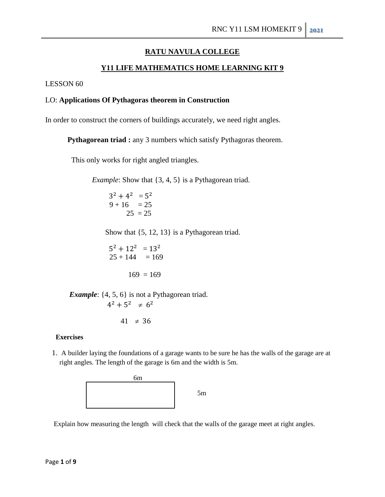# **RATU NAVULA COLLEGE**

# **Y11 LIFE MATHEMATICS HOME LEARNING KIT 9**

LESSON 60

## LO: **Applications Of Pythagoras theorem in Construction**

In order to construct the corners of buildings accurately, we need right angles.

**Pythagorean triad :** any 3 numbers which satisfy Pythagoras theorem.

This only works for right angled triangles.

*Example*: Show that  $\{3, 4, 5\}$  is a Pythagorean triad.

 $^2 + 4^2 = 5^2$  $9 + 16 = 25$  $25 = 25$ 

Show that {5, 12, 13} is a Pythagorean triad.

$$
52 + 122 = 132
$$
  
25 + 144 = 169  
169 = 169

*Example*: {4, 5, 6} is not a Pythagorean triad.  $4^2 + 5^2 \neq 6^2$ 

 $41 \neq 3$ 

#### **Exercises**

 1. A builder laying the foundations of a garage wants to be sure he has the walls of the garage are at right angles. The length of the garage is 6m and the width is 5m.



Explain how measuring the length will check that the walls of the garage meet at right angles.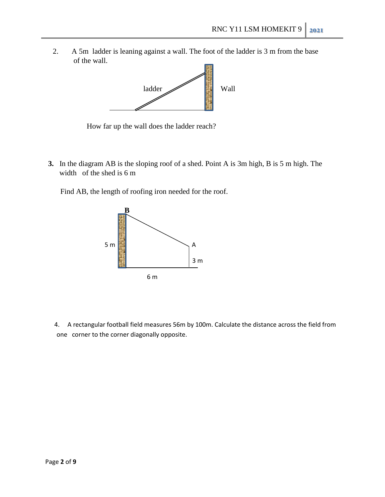2. A 5m ladder is leaning against a wall. The foot of the ladder is 3 m from the base of the wall.



How far up the wall does the ladder reach?

**3.** In the diagram AB is the sloping roof of a shed. Point A is 3m high, B is 5 m high. The width of the shed is 6 m

Find AB, the length of roofing iron needed for the roof.



 4. A rectangular football field measures 56m by 100m. Calculate the distance across the field from one corner to the corner diagonally opposite.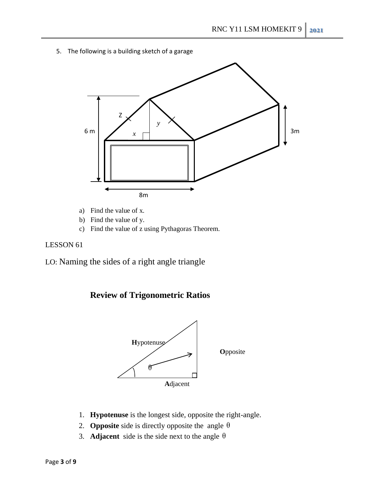5. The following is a building sketch of a garage



- a) Find the value of x.
- b) Find the value of y.
- c) Find the value of z using Pythagoras Theorem.

# LESSON 61

LO: Naming the sides of a right angle triangle





- 1. **Hypotenuse** is the longest side, opposite the right-angle.
- 2. **Opposite** side is directly opposite the angle  $\theta$
- 3. **Adjacent** side is the side next to the angle  $\theta$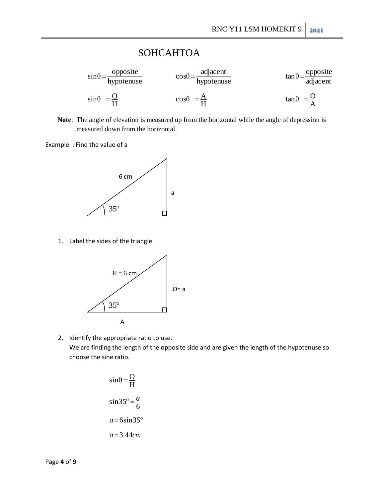# **SOHCAHTOA**

| $\sin\theta = \frac{\text{opposite}}{\text{hypotenuse}}$ | adjacent<br>$\cos\theta = \frac{\pi}{2}$<br>hypotenuse | $\tan \theta = \frac{\text{opposite}}{\text{adjacent}}$ |
|----------------------------------------------------------|--------------------------------------------------------|---------------------------------------------------------|
| $\sin\theta = \frac{Q}{\pi}$                             | $\cos\theta = \frac{A}{H}$                             | $\tan \theta = \frac{O}{4}$                             |

 **Note**: The angle of elevation is measured up from the horizontal while the angle of depression is measured down from the horizontal.

Example : Find the value of a



1. Label the sides of the triangle



2. Identify the appropriate ratio to use. We are finding the length of the opposite side and are given the length of the hypotenuse so choose the sine ratio.

$$
\sin \theta = \frac{O}{H}
$$

$$
\sin 35^\circ = \frac{a}{6}
$$

$$
a = 6 \sin 35^\circ
$$

$$
a = 3.44 cm
$$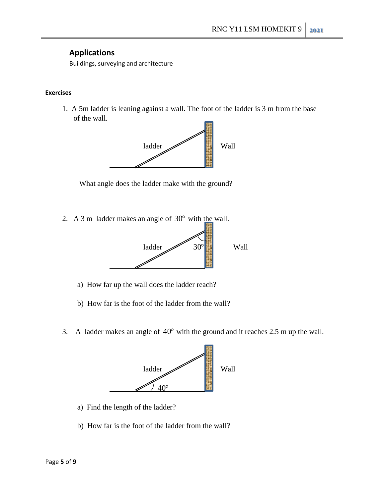# **Applications**

Buildings, surveying and architecture

#### **Exercises**

 1. A 5m ladder is leaning against a wall. The foot of the ladder is 3 m from the base of the wall.



What angle does the ladder make with the ground?

2. A 3 m ladder makes an angle of  $30^{\circ}$  with the wall.



- a) How far up the wall does the ladder reach?
- b) How far is the foot of the ladder from the wall?
- 3. A ladder makes an angle of 40 with the ground and it reaches 2.5 m up the wall.



- a) Find the length of the ladder?
- b) How far is the foot of the ladder from the wall?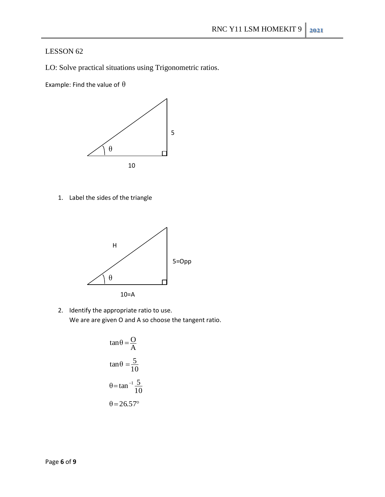# LESSON 62

LO: Solve practical situations using Trigonometric ratios.

Example: Find the value of  $\theta$ 



1. Label the sides of the triangle



2. Identify the appropriate ratio to use. We are are given O and A so choose the tangent ratio.

$$
\tan \theta = \frac{O}{A}
$$

$$
\tan \theta = \frac{5}{10}
$$

$$
\theta = \tan^{-1} \frac{5}{10}
$$

$$
\theta = 26.57^{\circ}
$$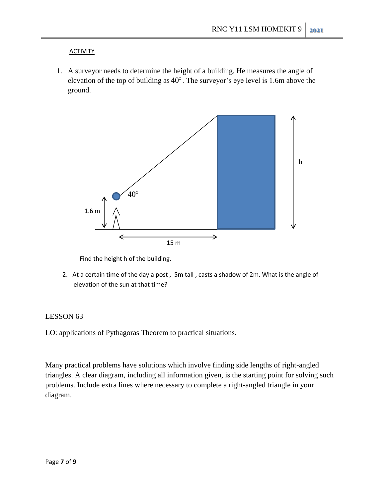#### **ACTIVITY**

1. A surveyor needs to determine the height of a building. He measures the angle of elevation of the top of building as 40 . The surveyor's eye level is 1.6m above the ground.



Find the height h of the building.

 2. At a certain time of the day a post , 5m tall , casts a shadow of 2m. What is the angle of elevation of the sun at that time?

#### LESSON 63

LO: applications of Pythagoras Theorem to practical situations.

Many practical problems have solutions which involve finding side lengths of right-angled triangles. A clear diagram, including all information given, is the starting point for solving such problems. Include extra lines where necessary to complete a right-angled triangle in your diagram.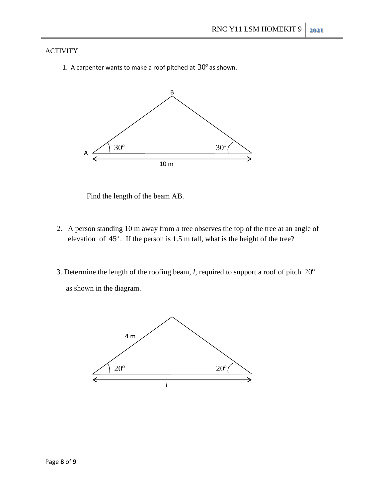#### ACTIVITY

1. A carpenter wants to make a roof pitched at  $30^{\circ}$  as shown.



Find the length of the beam AB.

- 2. A person standing 10 m away from a tree observes the top of the tree at an angle of elevation of 45 . If the person is 1.5 m tall, what is the height of the tree?
- 3. Determine the length of the roofing beam, *l*, required to support a roof of pitch  $20^{\circ}$ as shown in the diagram.